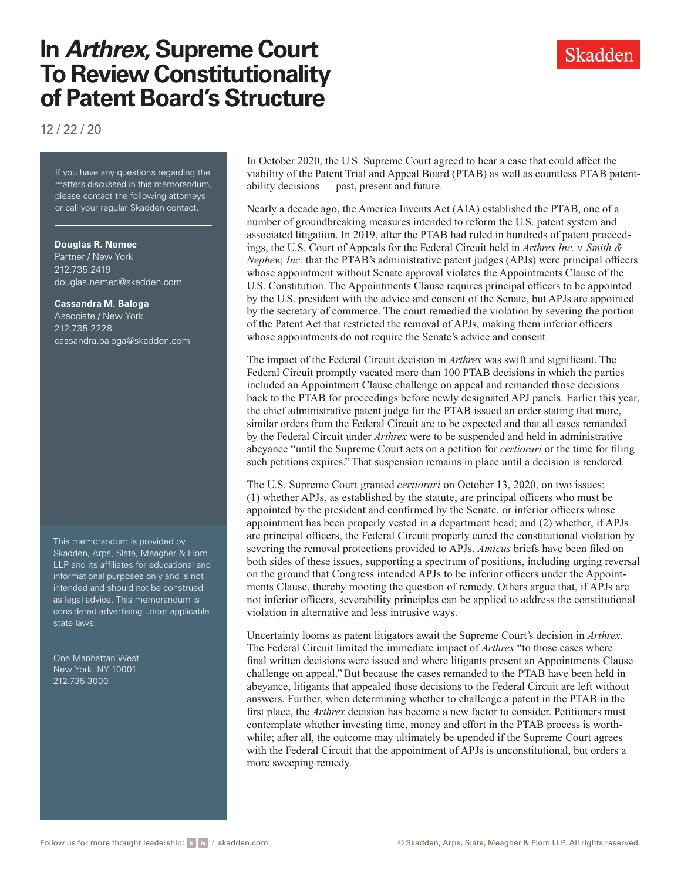# **In** *Arthrex***, Supreme Court To Review Constitutionality of Patent Board's Structure**

12 / 22 / 20

If you have any questions regarding the matters discussed in this memorandum, please contact the following attorneys or call your regular Skadden contact.

#### **Douglas R. Nemec**

Partner / New York 212.735.2419 [douglas.nemec@skadden.com](mailto:douglas.nemec@skadden.com
)

#### **Cassandra M. Baloga**

Associate / New York 212.735.2228 [cassandra.baloga@skadden.com](mailto:cassandra.baloga@skadden.com
)

This memorandum is provided by Skadden, Arps, Slate, Meagher & Flom LLP and its affiliates for educational and informational purposes only and is not intended and should not be construed as legal advice. This memorandum is considered advertising under applicable state laws.

One Manhattan West New York, NY 10001 212.735.3000

### In October 2020, the U.S. Supreme Court agreed to hear a case that could affect the viability of the Patent Trial and Appeal Board (PTAB) as well as countless PTAB patentability decisions — past, present and future.

Nearly a decade ago, the America Invents Act (AIA) established the PTAB, one of a number of groundbreaking measures intended to reform the U.S. patent system and associated litigation. In 2019, after the PTAB had ruled in hundreds of patent proceedings, the U.S. Court of Appeals for the Federal Circuit held in *Arthrex Inc. v. Smith & Nephew, Inc.* that the PTAB's administrative patent judges (APJs) were principal officers whose appointment without Senate approval violates the Appointments Clause of the U.S. Constitution. The Appointments Clause requires principal officers to be appointed by the U.S. president with the advice and consent of the Senate, but APJs are appointed by the secretary of commerce. The court remedied the violation by severing the portion of the Patent Act that restricted the removal of APJs, making them inferior officers whose appointments do not require the Senate's advice and consent.

The impact of the Federal Circuit decision in *Arthrex* was swift and significant. The Federal Circuit promptly vacated more than 100 PTAB decisions in which the parties included an Appointment Clause challenge on appeal and remanded those decisions back to the PTAB for proceedings before newly designated APJ panels. Earlier this year, the chief administrative patent judge for the PTAB issued an order stating that more, similar orders from the Federal Circuit are to be expected and that all cases remanded by the Federal Circuit under *Arthrex* were to be suspended and held in administrative abeyance "until the Supreme Court acts on a petition for *certiorari* or the time for filing such petitions expires." That suspension remains in place until a decision is rendered.

The U.S. Supreme Court granted *certiorari* on October 13, 2020, on two issues: (1) whether APJs, as established by the statute, are principal officers who must be appointed by the president and confirmed by the Senate, or inferior officers whose appointment has been properly vested in a department head; and (2) whether, if APJs are principal officers, the Federal Circuit properly cured the constitutional violation by severing the removal protections provided to APJs. *Amicus* briefs have been filed on both sides of these issues, supporting a spectrum of positions, including urging reversal on the ground that Congress intended APJs to be inferior officers under the Appointments Clause, thereby mooting the question of remedy. Others argue that, if APJs are not inferior officers, severability principles can be applied to address the constitutional violation in alternative and less intrusive ways.

Uncertainty looms as patent litigators await the Supreme Court's decision in *Arthrex*. The Federal Circuit limited the immediate impact of *Arthrex* "to those cases where final written decisions were issued and where litigants present an Appointments Clause challenge on appeal." But because the cases remanded to the PTAB have been held in abeyance, litigants that appealed those decisions to the Federal Circuit are left without answers. Further, when determining whether to challenge a patent in the PTAB in the first place, the *Arthrex* decision has become a new factor to consider. Petitioners must contemplate whether investing time, money and effort in the PTAB process is worthwhile; after all, the outcome may ultimately be upended if the Supreme Court agrees with the Federal Circuit that the appointment of APJs is unconstitutional, but orders a more sweeping remedy.

### Skadden